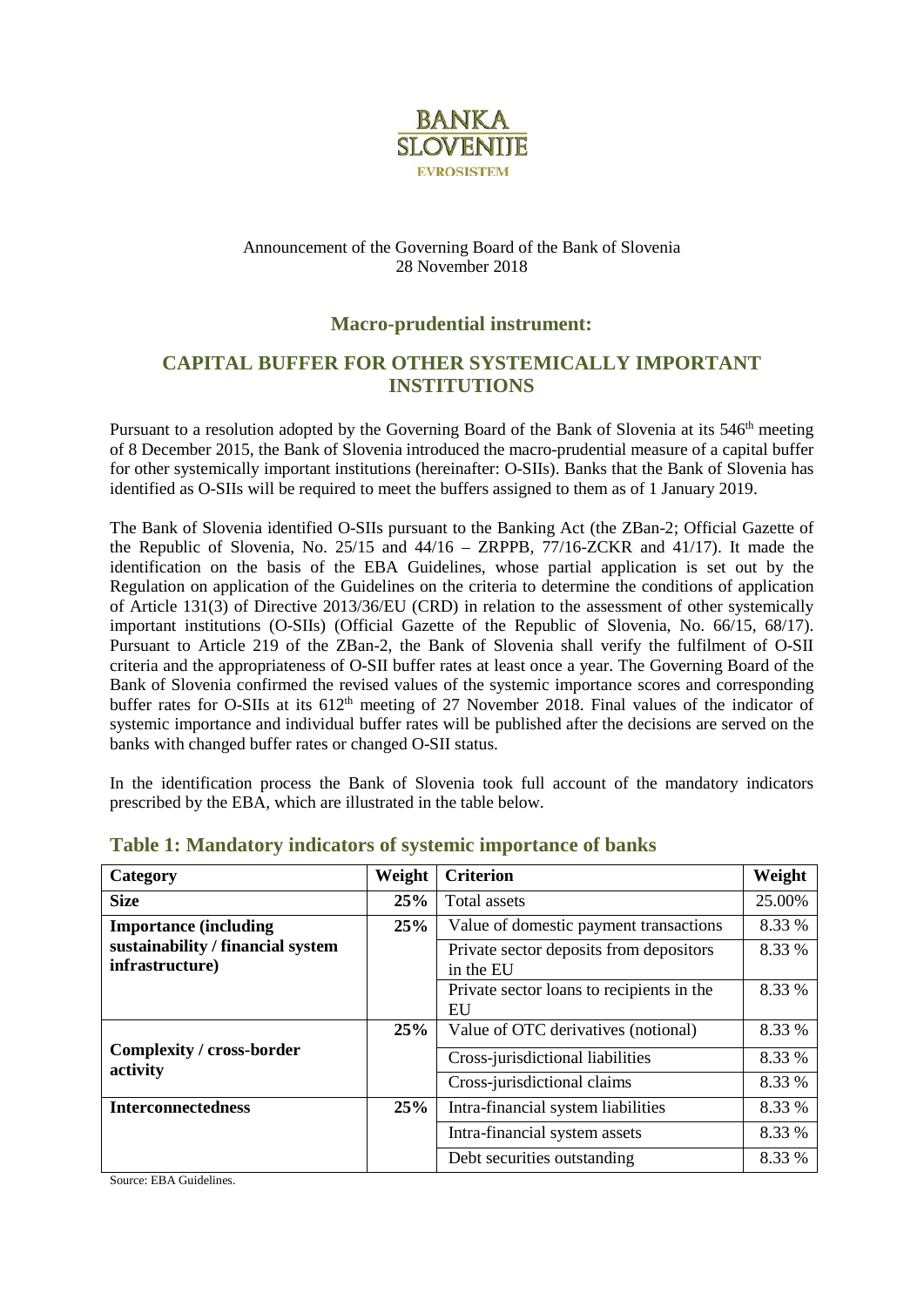

#### Announcement of the Governing Board of the Bank of Slovenia 28 November 2018

## **Macro-prudential instrument:**

# **CAPITAL BUFFER FOR OTHER SYSTEMICALLY IMPORTANT INSTITUTIONS**

Pursuant to a resolution adopted by the Governing Board of the Bank of Slovenia at its 546<sup>th</sup> meeting of 8 December 2015, the Bank of Slovenia introduced the macro-prudential measure of a capital buffer for other systemically important institutions (hereinafter: O-SIIs). Banks that the Bank of Slovenia has identified as O-SIIs will be required to meet the buffers assigned to them as of 1 January 2019.

The Bank of Slovenia identified O-SIIs pursuant to the Banking Act (the ZBan-2; Official Gazette of the Republic of Slovenia, No. 25/15 and 44/16 – ZRPPB, 77/16-ZCKR and 41/17). It made the identification on the basis of the EBA Guidelines, whose partial application is set out by the Regulation on application of the Guidelines on the criteria to determine the conditions of application of Article 131(3) of Directive 2013/36/EU (CRD) in relation to the assessment of other systemically important institutions (O-SIIs) (Official Gazette of the Republic of Slovenia, No. 66/15, 68/17). Pursuant to Article 219 of the ZBan-2, the Bank of Slovenia shall verify the fulfilment of O-SII criteria and the appropriateness of O-SII buffer rates at least once a year. The Governing Board of the Bank of Slovenia confirmed the revised values of the systemic importance scores and corresponding buffer rates for O-SIIs at its  $612<sup>th</sup>$  meeting of 27 November 2018. Final values of the indicator of systemic importance and individual buffer rates will be published after the decisions are served on the banks with changed buffer rates or changed O-SII status.

In the identification process the Bank of Slovenia took full account of the mandatory indicators prescribed by the EBA, which are illustrated in the table below.

| Category                                             | Weight | <b>Criterion</b>                                     | Weight |
|------------------------------------------------------|--------|------------------------------------------------------|--------|
| <b>Size</b>                                          | 25%    | Total assets                                         | 25.00% |
| <b>Importance (including</b>                         | 25%    | Value of domestic payment transactions               | 8.33 % |
| sustainability / financial system<br>infrastructure) |        | Private sector deposits from depositors<br>in the EU | 8.33 % |
|                                                      |        | Private sector loans to recipients in the<br>EU      | 8.33 % |
|                                                      | 25%    | Value of OTC derivatives (notional)                  | 8.33 % |
| Complexity / cross-border<br>activity                |        | Cross-jurisdictional liabilities                     | 8.33 % |
|                                                      |        | Cross-jurisdictional claims                          | 8.33 % |
| <b>Interconnectedness</b>                            | 25%    | Intra-financial system liabilities                   | 8.33 % |
|                                                      |        | Intra-financial system assets                        | 8.33 % |
|                                                      |        | Debt securities outstanding                          | 8.33 % |

## **Table 1: Mandatory indicators of systemic importance of banks**

Source: EBA Guidelines.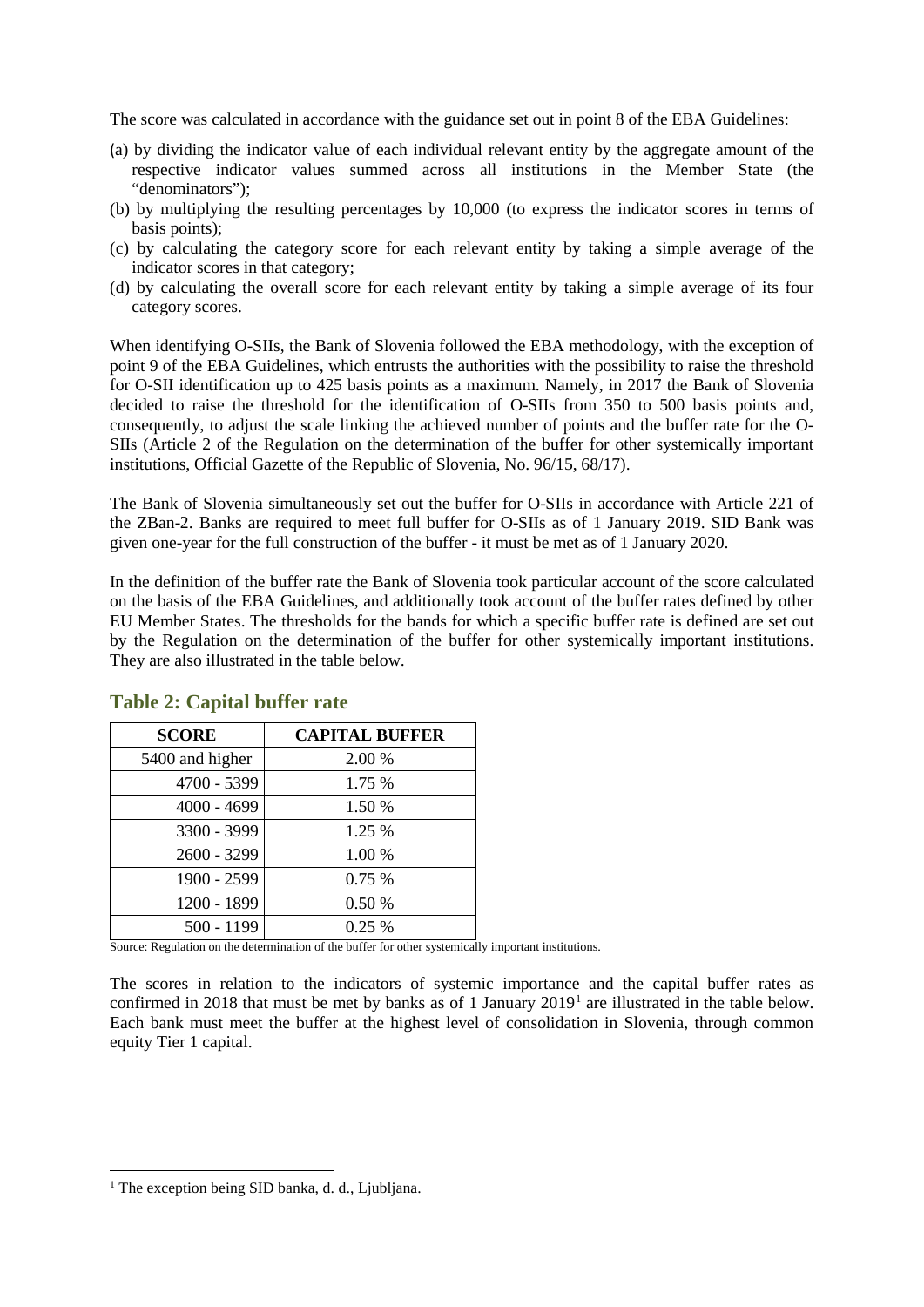The score was calculated in accordance with the guidance set out in point 8 of the EBA Guidelines:

- (a) by dividing the indicator value of each individual relevant entity by the aggregate amount of the respective indicator values summed across all institutions in the Member State (the "denominators");
- (b) by multiplying the resulting percentages by 10,000 (to express the indicator scores in terms of basis points);
- (c) by calculating the category score for each relevant entity by taking a simple average of the indicator scores in that category;
- (d) by calculating the overall score for each relevant entity by taking a simple average of its four category scores.

When identifying O-SIIs, the Bank of Slovenia followed the EBA methodology, with the exception of point 9 of the EBA Guidelines, which entrusts the authorities with the possibility to raise the threshold for O-SII identification up to 425 basis points as a maximum. Namely, in 2017 the Bank of Slovenia decided to raise the threshold for the identification of O-SIIs from 350 to 500 basis points and, consequently, to adjust the scale linking the achieved number of points and the buffer rate for the O-SIIs (Article 2 of the Regulation on the determination of the buffer for other systemically important institutions, Official Gazette of the Republic of Slovenia, No. 96/15, 68/17).

The Bank of Slovenia simultaneously set out the buffer for O-SIIs in accordance with Article 221 of the ZBan-2. Banks are required to meet full buffer for O-SIIs as of 1 January 2019. SID Bank was given one-year for the full construction of the buffer - it must be met as of 1 January 2020.

In the definition of the buffer rate the Bank of Slovenia took particular account of the score calculated on the basis of the EBA Guidelines, and additionally took account of the buffer rates defined by other EU Member States. The thresholds for the bands for which a specific buffer rate is defined are set out by the Regulation on the determination of the buffer for other systemically important institutions. They are also illustrated in the table below.

| <b>SCORE</b>    | <b>CAPITAL BUFFER</b> |
|-----------------|-----------------------|
| 5400 and higher | 2.00 %                |
| 4700 - 5399     | 1.75 %                |
| $4000 - 4699$   | 1.50 %                |
| 3300 - 3999     | 1.25 %                |
| 2600 - 3299     | 1.00 %                |
| 1900 - 2599     | 0.75%                 |
| 1200 - 1899     | 0.50 %                |
| 500 - 1199      | 0.25%                 |

## **Table 2: Capital buffer rate**

Source: Regulation on the determination of the buffer for other systemically important institutions.

The scores in relation to the indicators of systemic importance and the capital buffer rates as confirmed in 2018 that must be met by banks as of 1 January 2019[1](#page-1-0) are illustrated in the table below. Each bank must meet the buffer at the highest level of consolidation in Slovenia, through common equity Tier 1 capital.

<span id="page-1-0"></span><sup>&</sup>lt;sup>1</sup> The exception being SID banka, d. d., Ljubljana.